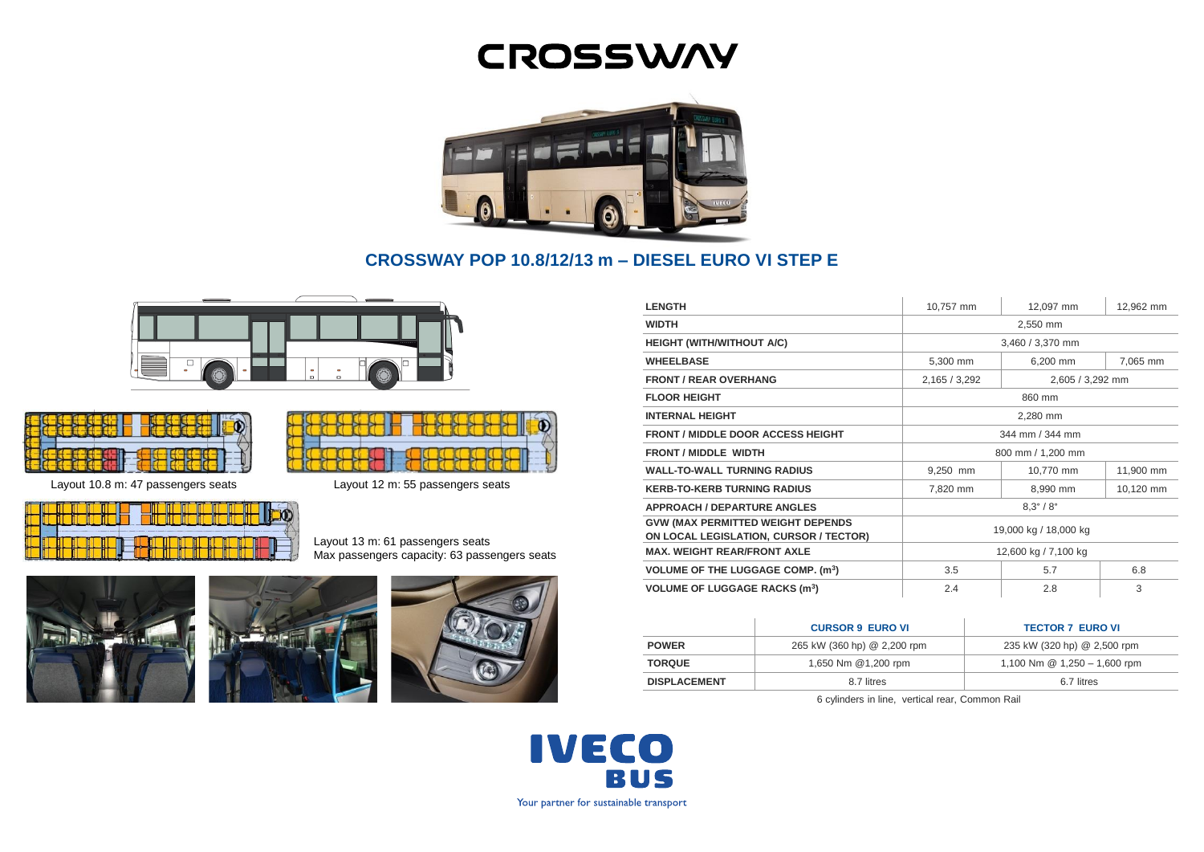# **CROSSWAY**



# **CROSSWAY POP 10.8/12/13 m – DIESEL EURO VI STEP E**









Layout 13 m: 61 passengers seats Max passengers capacity: 63 passengers seats







| <b>LENGTH</b>                                                                      | 10,757 mm                 | 12,097 mm        | 12,962 mm |
|------------------------------------------------------------------------------------|---------------------------|------------------|-----------|
| <b>WIDTH</b>                                                                       | 2,550 mm                  |                  |           |
| <b>HEIGHT (WITH/WITHOUT A/C)</b>                                                   | 3,460 / 3,370 mm          |                  |           |
| <b>WHEELBASE</b>                                                                   | 5,300 mm                  | 6,200 mm         | 7,065 mm  |
| <b>FRONT / REAR OVERHANG</b>                                                       | 2,165 / 3,292             | 2,605 / 3,292 mm |           |
| <b>FLOOR HEIGHT</b>                                                                | 860 mm                    |                  |           |
| <b>INTERNAL HEIGHT</b>                                                             | 2,280 mm                  |                  |           |
| <b>FRONT / MIDDLE DOOR ACCESS HEIGHT</b>                                           | 344 mm / 344 mm           |                  |           |
| <b>FRONT / MIDDLE WIDTH</b>                                                        | 800 mm / 1,200 mm         |                  |           |
| <b>WALL-TO-WALL TURNING RADIUS</b>                                                 | 9,250 mm                  | 10,770 mm        | 11,900 mm |
| <b>KERB-TO-KERB TURNING RADIUS</b>                                                 | 7,820 mm                  | 8,990 mm         | 10,120 mm |
| <b>APPROACH / DEPARTURE ANGLES</b>                                                 | $8.3^{\circ} / 8^{\circ}$ |                  |           |
| <b>GVW (MAX PERMITTED WEIGHT DEPENDS</b><br>ON LOCAL LEGISLATION, CURSOR / TECTOR) | 19,000 kg / 18,000 kg     |                  |           |
| <b>MAX. WEIGHT REAR/FRONT AXLE</b>                                                 | 12,600 kg / 7,100 kg      |                  |           |
| <b>VOLUME OF THE LUGGAGE COMP. (m<sup>3</sup>)</b>                                 | 3.5                       | 5.7              | 6.8       |
| <b>VOLUME OF LUGGAGE RACKS (m<sup>3</sup>)</b>                                     | 2.4                       | 2.8              | 3         |

|                     | <b>CURSOR 9 EURO VI</b>     | <b>TECTOR 7 EURO VI</b>        |
|---------------------|-----------------------------|--------------------------------|
| <b>POWER</b>        | 265 kW (360 hp) @ 2,200 rpm | 235 kW (320 hp) @ 2,500 rpm    |
| <b>TORQUE</b>       | 1,650 Nm @1,200 rpm         | 1,100 Nm $@$ 1,250 - 1,600 rpm |
| <b>DISPLACEMENT</b> | 8.7 litres                  | 6.7 litres                     |

6 cylinders in line, vertical rear, Common Rail

**IVECO BUS** Your partner for sustainable transport